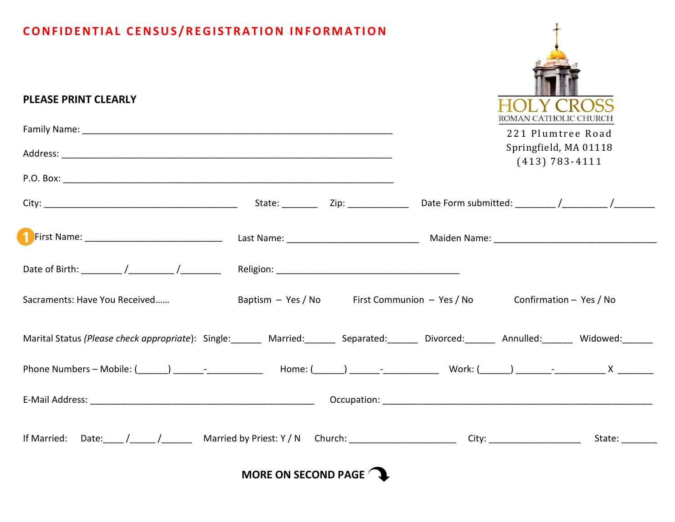## **CONFIDENTIAL CENSUS/REGISTRATION INFORMATION**

| ROMAN CATHOLIC CHURCH<br>221 Plumtree Road<br>Springfield, MA 01118<br>$(413) 783 - 4111$                                                  |
|--------------------------------------------------------------------------------------------------------------------------------------------|
|                                                                                                                                            |
|                                                                                                                                            |
|                                                                                                                                            |
|                                                                                                                                            |
|                                                                                                                                            |
|                                                                                                                                            |
| Baptism – Yes / No First Communion – Yes / No Confirmation – Yes / No                                                                      |
| Marital Status (Please check appropriate): Single:_______ Married:_______ Separated:______ Divorced:______ Annulled:_______ Widowed:______ |
|                                                                                                                                            |
|                                                                                                                                            |
| State: ________                                                                                                                            |
|                                                                                                                                            |